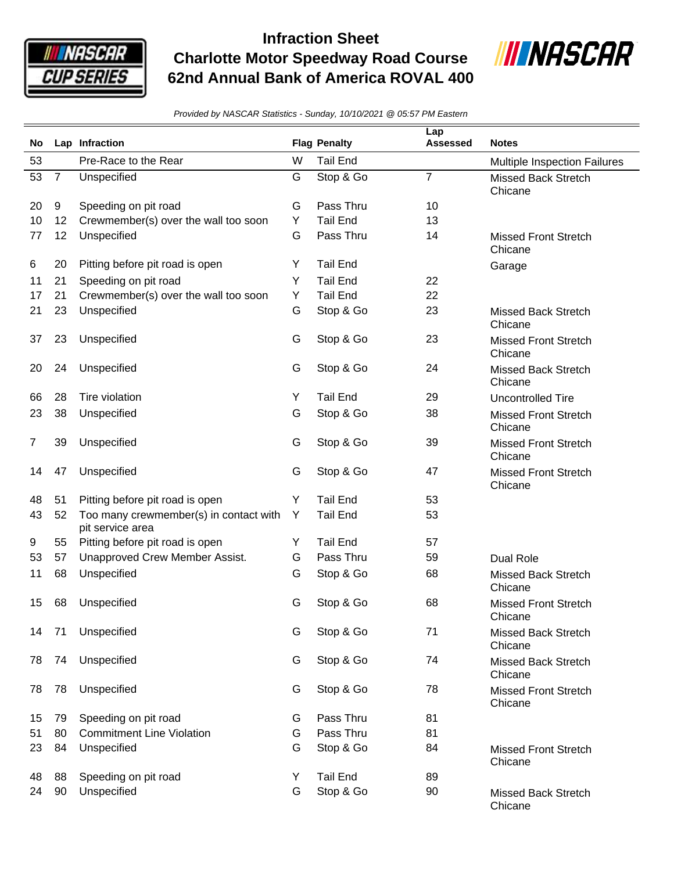

## **Infraction Sheet Charlotte Motor Speedway Road Course 62nd Annual Bank of America ROVAL 400**



*Provided by NASCAR Statistics - Sunday, 10/10/2021 @ 05:57 PM Eastern*

| No |                | Lap Infraction                                             |   | <b>Flag Penalty</b> | Lap<br><b>Assessed</b> | <b>Notes</b>                           |
|----|----------------|------------------------------------------------------------|---|---------------------|------------------------|----------------------------------------|
| 53 |                | Pre-Race to the Rear                                       | W | <b>Tail End</b>     |                        | Multiple Inspection Failures           |
| 53 | $\overline{7}$ | Unspecified                                                | G | Stop & Go           | $\overline{7}$         | <b>Missed Back Stretch</b><br>Chicane  |
| 20 | 9              | Speeding on pit road                                       | G | Pass Thru           | 10                     |                                        |
| 10 | 12             | Crewmember(s) over the wall too soon                       | Y | <b>Tail End</b>     | 13                     |                                        |
| 77 | 12             | Unspecified                                                | G | Pass Thru           | 14                     | <b>Missed Front Stretch</b><br>Chicane |
| 6  | 20             | Pitting before pit road is open                            | Y | <b>Tail End</b>     |                        | Garage                                 |
| 11 | 21             | Speeding on pit road                                       | Y | <b>Tail End</b>     | 22                     |                                        |
| 17 | 21             | Crewmember(s) over the wall too soon                       | Y | <b>Tail End</b>     | 22                     |                                        |
| 21 | 23             | Unspecified                                                | G | Stop & Go           | 23                     | <b>Missed Back Stretch</b><br>Chicane  |
| 37 | 23             | Unspecified                                                | G | Stop & Go           | 23                     | <b>Missed Front Stretch</b><br>Chicane |
| 20 | 24             | Unspecified                                                | G | Stop & Go           | 24                     | <b>Missed Back Stretch</b><br>Chicane  |
| 66 | 28             | Tire violation                                             | Y | <b>Tail End</b>     | 29                     | Uncontrolled Tire                      |
| 23 | 38             | Unspecified                                                | G | Stop & Go           | 38                     | <b>Missed Front Stretch</b><br>Chicane |
| 7  | 39             | Unspecified                                                | G | Stop & Go           | 39                     | <b>Missed Front Stretch</b><br>Chicane |
| 14 | 47             | Unspecified                                                | G | Stop & Go           | 47                     | <b>Missed Front Stretch</b><br>Chicane |
| 48 | 51             | Pitting before pit road is open                            | Y | <b>Tail End</b>     | 53                     |                                        |
| 43 | 52             | Too many crewmember(s) in contact with<br>pit service area | Y | <b>Tail End</b>     | 53                     |                                        |
| 9  | 55             | Pitting before pit road is open                            | Y | <b>Tail End</b>     | 57                     |                                        |
| 53 | 57             | Unapproved Crew Member Assist.                             | G | Pass Thru           | 59                     | <b>Dual Role</b>                       |
| 11 | 68             | Unspecified                                                | G | Stop & Go           | 68                     | Missed Back Stretch<br>Chicane         |
| 15 | 68             | Unspecified                                                | G | Stop & Go           | 68                     | <b>Missed Front Stretch</b><br>Chicane |
| 14 | 71             | Unspecified                                                | G | Stop & Go           | 71                     | <b>Missed Back Stretch</b><br>Chicane  |
| 78 | 74             | Unspecified                                                | G | Stop & Go           | 74                     | <b>Missed Back Stretch</b><br>Chicane  |
| 78 | 78             | Unspecified                                                | G | Stop & Go           | 78                     | <b>Missed Front Stretch</b><br>Chicane |
| 15 | 79             | Speeding on pit road                                       | G | Pass Thru           | 81                     |                                        |
| 51 | 80             | <b>Commitment Line Violation</b>                           | G | Pass Thru           | 81                     |                                        |
| 23 | 84             | Unspecified                                                | G | Stop & Go           | 84                     | <b>Missed Front Stretch</b><br>Chicane |
| 48 | 88             | Speeding on pit road                                       | Y | <b>Tail End</b>     | 89                     |                                        |
| 24 | 90             | Unspecified                                                | G | Stop & Go           | 90                     | <b>Missed Back Stretch</b><br>Chicane  |